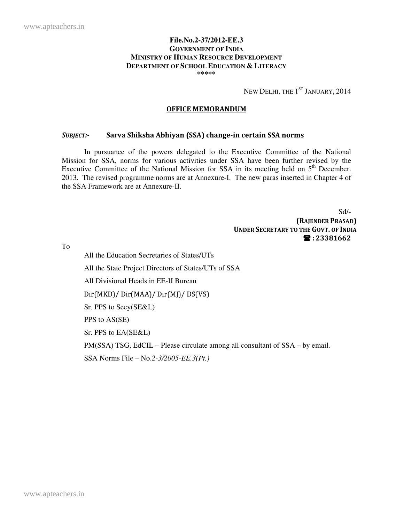#### **File.No.2-37/2012-EE.3 GOVERNMENT OF INDIA MINISTRY OF HUMAN RESOURCE DEVELOPMENT DEPARTMENT OF SCHOOL EDUCATION & LITERACY \*\*\*\*\***

NEW DELHI, THE  $1^\mathrm{ST}$  January, 2014

#### OFFICE MEMORANDUM

#### SUBJECT:- Sarva Shiksha Abhiyan (SSA) change-in certain SSA norms

 In pursuance of the powers delegated to the Executive Committee of the National Mission for SSA, norms for various activities under SSA have been further revised by the Executive Committee of the National Mission for SSA in its meeting held on  $5<sup>th</sup>$  December. 2013. The revised programme norms are at Annexure-I. The new paras inserted in Chapter 4 of the SSA Framework are at Annexure-II.

> Sd/- (RAJENDER PRASAD) UNDER SECRETARY TO THE GOVT. OF INDIA : 23381662

To

 All the Education Secretaries of States/UTs All the State Project Directors of States/UTs of SSA All Divisional Heads in EE-II Bureau Dir(MKD)/ Dir(MAA)/ Dir(MJ)/ DS(VS) Sr. PPS to Secy(SE&L) PPS to AS(SE) Sr. PPS to EA(SE&L) PM(SSA) TSG, EdCIL – Please circulate among all consultant of SSA – by email. SSA Norms File – No.*2-3/2005-EE.3(Pt.)*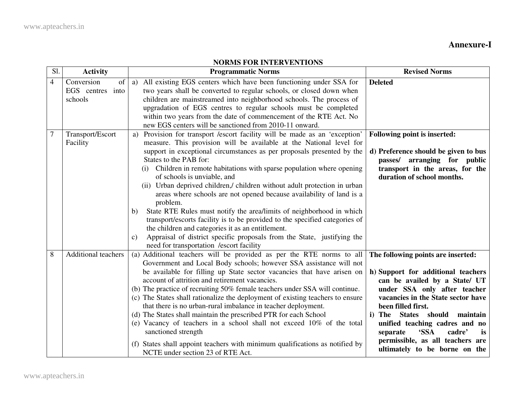# **Annexure-I**

| Sl.            | <b>Activity</b>                                 | <b>INDIO L'ON INTERVENTION</b><br><b>Programmatic Norms</b>                                                                                                                                                                                                                                                                                                                                                                                                                                                                                                                                                                                                                                                                                                                                                                                                                                   | <b>Revised Norms</b>                                                                                                                                                                                                                                                                                                                                                                          |
|----------------|-------------------------------------------------|-----------------------------------------------------------------------------------------------------------------------------------------------------------------------------------------------------------------------------------------------------------------------------------------------------------------------------------------------------------------------------------------------------------------------------------------------------------------------------------------------------------------------------------------------------------------------------------------------------------------------------------------------------------------------------------------------------------------------------------------------------------------------------------------------------------------------------------------------------------------------------------------------|-----------------------------------------------------------------------------------------------------------------------------------------------------------------------------------------------------------------------------------------------------------------------------------------------------------------------------------------------------------------------------------------------|
| $\overline{4}$ | Conversion<br>of<br>EGS centres into<br>schools | All existing EGS centers which have been functioning under SSA for<br>a)<br>two years shall be converted to regular schools, or closed down when<br>children are mainstreamed into neighborhood schools. The process of<br>upgradation of EGS centres to regular schools must be completed<br>within two years from the date of commencement of the RTE Act. No<br>new EGS centers will be sanctioned from 2010-11 onward.                                                                                                                                                                                                                                                                                                                                                                                                                                                                    | <b>Deleted</b>                                                                                                                                                                                                                                                                                                                                                                                |
| $\overline{7}$ | Transport/Escort<br>Facility                    | Provision for transport /escort facility will be made as an 'exception'<br>a)<br>measure. This provision will be available at the National level for<br>support in exceptional circumstances as per proposals presented by the<br>States to the PAB for:<br>(i) Children in remote habitations with sparse population where opening<br>of schools is unviable, and<br>(ii) Urban deprived children,/ children without adult protection in urban<br>areas where schools are not opened because availability of land is a<br>problem.<br>State RTE Rules must notify the area/limits of neighborhood in which<br>b)<br>transport/escorts facility is to be provided to the specified categories of<br>the children and categories it as an entitlement.<br>Appraisal of district specific proposals from the State, justifying the<br>$\mathbf{c})$<br>need for transportation /escort facility | Following point is inserted:<br>d) Preference should be given to bus<br>passes/ arranging for public<br>transport in the areas, for the<br>duration of school months.                                                                                                                                                                                                                         |
| 8              | <b>Additional teachers</b>                      | (a) Additional teachers will be provided as per the RTE norms to all<br>Government and Local Body schools; however SSA assistance will not<br>be available for filling up State sector vacancies that have arisen on<br>account of attrition and retirement vacancies.<br>(b) The practice of recruiting 50% female teachers under SSA will continue.<br>(c) The States shall rationalize the deployment of existing teachers to ensure<br>that there is no urban-rural imbalance in teacher deployment.<br>(d) The States shall maintain the prescribed PTR for each School<br>(e) Vacancy of teachers in a school shall not exceed 10% of the total<br>sanctioned strength<br>(f) States shall appoint teachers with minimum qualifications as notified by<br>NCTE under section 23 of RTE Act.                                                                                             | The following points are inserted:<br>h) Support for additional teachers<br>can be availed by a State/ UT<br>under SSA only after teacher<br>vacancies in the State sector have<br>been filled first.<br>States should<br>maintain<br>i) The<br>unified teaching cadres and no<br><b>SSA</b><br>cadre'<br>separate<br>is<br>permissible, as all teachers are<br>ultimately to be borne on the |

## **NORMS FOR INTERVENTIONS**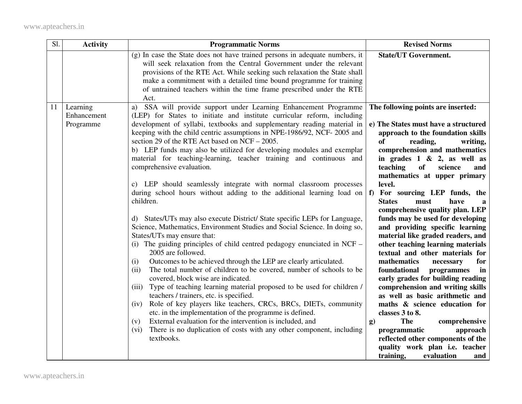| Sl. | <b>Activity</b>                      | <b>Programmatic Norms</b>                                                                                                                                                                                                                                                                                                                                                                                                                                                                                                                                                                                                                                                                                                                                                                                                                                                                                                                                                                                                                                            | <b>Revised Norms</b>                                                                                                                                                                                                                                                                                                                                                                                                                                                                                                                                                                                                              |
|-----|--------------------------------------|----------------------------------------------------------------------------------------------------------------------------------------------------------------------------------------------------------------------------------------------------------------------------------------------------------------------------------------------------------------------------------------------------------------------------------------------------------------------------------------------------------------------------------------------------------------------------------------------------------------------------------------------------------------------------------------------------------------------------------------------------------------------------------------------------------------------------------------------------------------------------------------------------------------------------------------------------------------------------------------------------------------------------------------------------------------------|-----------------------------------------------------------------------------------------------------------------------------------------------------------------------------------------------------------------------------------------------------------------------------------------------------------------------------------------------------------------------------------------------------------------------------------------------------------------------------------------------------------------------------------------------------------------------------------------------------------------------------------|
|     |                                      | (g) In case the State does not have trained persons in adequate numbers, it<br>will seek relaxation from the Central Government under the relevant<br>provisions of the RTE Act. While seeking such relaxation the State shall<br>make a commitment with a detailed time bound programme for training<br>of untrained teachers within the time frame prescribed under the RTE<br>Act.                                                                                                                                                                                                                                                                                                                                                                                                                                                                                                                                                                                                                                                                                | <b>State/UT Government.</b>                                                                                                                                                                                                                                                                                                                                                                                                                                                                                                                                                                                                       |
| 11  | Learning<br>Enhancement<br>Programme | a) SSA will provide support under Learning Enhancement Programme<br>(LEP) for States to initiate and institute curricular reform, including<br>development of syllabi, textbooks and supplementary reading material in<br>keeping with the child centric assumptions in NPE-1986/92, NCF-2005 and<br>section 29 of the RTE Act based on NCF – 2005.<br>b) LEP funds may also be utilized for developing modules and exemplar<br>material for teaching-learning, teacher training and continuous and<br>comprehensive evaluation.<br>c) LEP should seamlessly integrate with normal classroom processes<br>during school hours without adding to the additional learning load on<br>children.<br>d) States/UTs may also execute District/ State specific LEPs for Language,<br>Science, Mathematics, Environment Studies and Social Science. In doing so,<br>States/UTs may ensure that:<br>(i) The guiding principles of child centred pedagogy enunciated in NCF –<br>2005 are followed.<br>Outcomes to be achieved through the LEP are clearly articulated.<br>(i) | The following points are inserted:<br>e) The States must have a structured<br>approach to the foundation skills<br>of<br>reading,<br>writing,<br>comprehension and mathematics<br>in grades $1 \& 2$ , as well as<br>teaching<br>of<br>science<br>and<br>mathematics at upper primary<br>level.<br>f) For sourcing LEP funds, the<br>have<br><b>States</b><br>must<br>a<br>comprehensive quality plan. LEP<br>funds may be used for developing<br>and providing specific learning<br>material like graded readers, and<br>other teaching learning materials<br>textual and other materials for<br>mathematics<br>necessary<br>for |
|     |                                      | The total number of children to be covered, number of schools to be<br>(ii)<br>covered, block wise are indicated.<br>(iii) Type of teaching learning material proposed to be used for children /<br>teachers / trainers, etc. is specified.<br>Role of key players like teachers, CRCs, BRCs, DIETs, community<br>(iv)<br>etc. in the implementation of the programme is defined.<br>External evaluation for the intervention is included, and<br>(v)<br>There is no duplication of costs with any other component, including<br>(vi)<br>textbooks.                                                                                                                                                                                                                                                                                                                                                                                                                                                                                                                  | foundational<br>programmes<br>in<br>early grades for building reading<br>comprehension and writing skills<br>as well as basic arithmetic and<br>maths & science education for<br>classes 3 to 8.<br><b>The</b><br>comprehensive<br>g)<br>programmatic<br>approach<br>reflected other components of the<br>quality work plan i.e. teacher<br>training,<br>evaluation<br>and                                                                                                                                                                                                                                                        |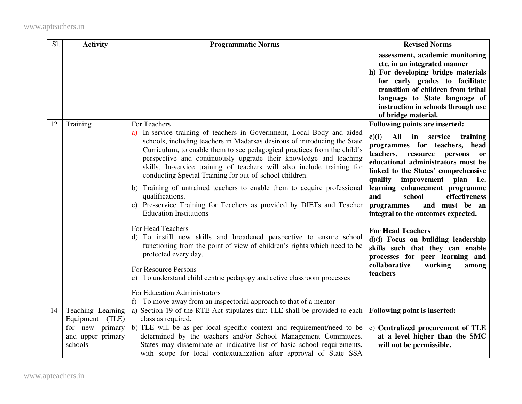| Sl. | <b>Activity</b>                                                    | <b>Programmatic Norms</b>                                                                                                                                                                                                                                                                                                                                                                                                                                                                                                                                                                                                                                                                                                                                                                                                                                                                                                                                                                            | <b>Revised Norms</b>                                                                                                                                                                                                                                                                                                                                                                                                                                                                                                                                                                                         |
|-----|--------------------------------------------------------------------|------------------------------------------------------------------------------------------------------------------------------------------------------------------------------------------------------------------------------------------------------------------------------------------------------------------------------------------------------------------------------------------------------------------------------------------------------------------------------------------------------------------------------------------------------------------------------------------------------------------------------------------------------------------------------------------------------------------------------------------------------------------------------------------------------------------------------------------------------------------------------------------------------------------------------------------------------------------------------------------------------|--------------------------------------------------------------------------------------------------------------------------------------------------------------------------------------------------------------------------------------------------------------------------------------------------------------------------------------------------------------------------------------------------------------------------------------------------------------------------------------------------------------------------------------------------------------------------------------------------------------|
|     |                                                                    |                                                                                                                                                                                                                                                                                                                                                                                                                                                                                                                                                                                                                                                                                                                                                                                                                                                                                                                                                                                                      | assessment, academic monitoring<br>etc. in an integrated manner<br>h) For developing bridge materials<br>for early grades to facilitate<br>transition of children from tribal<br>language to State language of<br>instruction in schools through use<br>of bridge material.                                                                                                                                                                                                                                                                                                                                  |
| 12  | Training                                                           | For Teachers<br>a) In-service training of teachers in Government, Local Body and aided<br>schools, including teachers in Madarsas desirous of introducing the State<br>Curriculum, to enable them to see pedagogical practices from the child's<br>perspective and continuously upgrade their knowledge and teaching<br>skills. In-service training of teachers will also include training for<br>conducting Special Training for out-of-school children.<br>b) Training of untrained teachers to enable them to acquire professional<br>qualifications.<br>c) Pre-service Training for Teachers as provided by DIETs and Teacher<br><b>Education Institutions</b><br>For Head Teachers<br>d) To instill new skills and broadened perspective to ensure school<br>functioning from the point of view of children's rights which need to be<br>protected every day.<br>For Resource Persons<br>e) To understand child centric pedagogy and active classroom processes<br>For Education Administrators | Following points are inserted:<br>c)(i)<br>All<br>service<br>in<br>training<br>programmes for teachers, head<br>teachers,<br>resource persons<br><b>or</b><br>educational administrators must be<br>linked to the States' comprehensive<br>quality improvement plan i.e.<br>learning enhancement programme<br>and<br>school<br>effectiveness<br>and must be an<br>programmes<br>integral to the outcomes expected.<br><b>For Head Teachers</b><br>d)(i) Focus on building leadership<br>skills such that they can enable<br>processes for peer learning and<br>collaborative<br>working<br>among<br>teachers |
| 14  | Teaching Learning                                                  | f) To move away from an inspectorial approach to that of a mentor<br>a) Section 19 of the RTE Act stipulates that TLE shall be provided to each                                                                                                                                                                                                                                                                                                                                                                                                                                                                                                                                                                                                                                                                                                                                                                                                                                                      | Following point is inserted:                                                                                                                                                                                                                                                                                                                                                                                                                                                                                                                                                                                 |
|     | Equipment (TLE)<br>for new primary<br>and upper primary<br>schools | class as required.<br>b) TLE will be as per local specific context and requirement/need to be<br>determined by the teachers and/or School Management Committees.<br>States may disseminate an indicative list of basic school requirements,<br>with scope for local contextualization after approval of State SSA                                                                                                                                                                                                                                                                                                                                                                                                                                                                                                                                                                                                                                                                                    | e) Centralized procurement of TLE<br>at a level higher than the SMC<br>will not be permissible.                                                                                                                                                                                                                                                                                                                                                                                                                                                                                                              |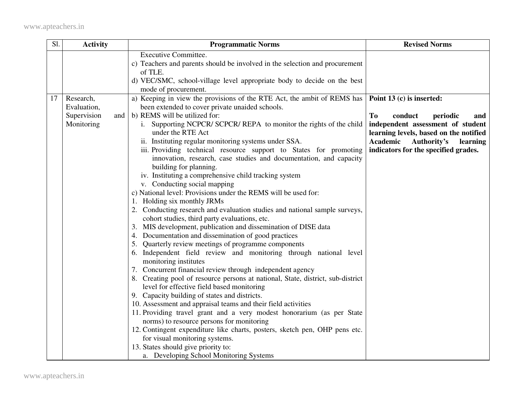| Sl. | <b>Activity</b>    | <b>Programmatic Norms</b>                                                                                                     | <b>Revised Norms</b>                   |
|-----|--------------------|-------------------------------------------------------------------------------------------------------------------------------|----------------------------------------|
|     |                    | <b>Executive Committee.</b>                                                                                                   |                                        |
|     |                    | c) Teachers and parents should be involved in the selection and procurement<br>of TLE.                                        |                                        |
|     |                    | d) VEC/SMC, school-village level appropriate body to decide on the best                                                       |                                        |
|     |                    | mode of procurement.                                                                                                          |                                        |
| 17  | Research,          | a) Keeping in view the provisions of the RTE Act, the ambit of REMS has                                                       | Point 13 (c) is inserted:              |
|     | Evaluation,        | been extended to cover private unaided schools.                                                                               |                                        |
|     | Supervision<br>and | b) REMS will be utilized for:                                                                                                 | To<br>conduct<br>periodic<br>and       |
|     | Monitoring         | i. Supporting NCPCR/ SCPCR/ REPA to monitor the rights of the child                                                           | independent assessment of student      |
|     |                    | under the RTE Act                                                                                                             | learning levels, based on the notified |
|     |                    | ii. Instituting regular monitoring systems under SSA.                                                                         | Academic<br>Authority's<br>learning    |
|     |                    | iii. Providing technical resource support to States for promoting                                                             | indicators for the specified grades.   |
|     |                    | innovation, research, case studies and documentation, and capacity                                                            |                                        |
|     |                    | building for planning.<br>iv. Instituting a comprehensive child tracking system                                               |                                        |
|     |                    | v. Conducting social mapping                                                                                                  |                                        |
|     |                    | c) National level: Provisions under the REMS will be used for:                                                                |                                        |
|     |                    | 1. Holding six monthly JRMs                                                                                                   |                                        |
|     |                    | 2. Conducting research and evaluation studies and national sample surveys,                                                    |                                        |
|     |                    | cohort studies, third party evaluations, etc.                                                                                 |                                        |
|     |                    | 3. MIS development, publication and dissemination of DISE data                                                                |                                        |
|     |                    | 4. Documentation and dissemination of good practices                                                                          |                                        |
|     |                    | 5. Quarterly review meetings of programme components                                                                          |                                        |
|     |                    | 6. Independent field review and monitoring through national level                                                             |                                        |
|     |                    | monitoring institutes                                                                                                         |                                        |
|     |                    | 7. Concurrent financial review through independent agency                                                                     |                                        |
|     |                    | 8. Creating pool of resource persons at national, State, district, sub-district<br>level for effective field based monitoring |                                        |
|     |                    | 9. Capacity building of states and districts.                                                                                 |                                        |
|     |                    | 10. Assessment and appraisal teams and their field activities                                                                 |                                        |
|     |                    | 11. Providing travel grant and a very modest honorarium (as per State                                                         |                                        |
|     |                    | norms) to resource persons for monitoring                                                                                     |                                        |
|     |                    | 12. Contingent expenditure like charts, posters, sketch pen, OHP pens etc.                                                    |                                        |
|     |                    | for visual monitoring systems.                                                                                                |                                        |
|     |                    | 13. States should give priority to:                                                                                           |                                        |
|     |                    | a. Developing School Monitoring Systems                                                                                       |                                        |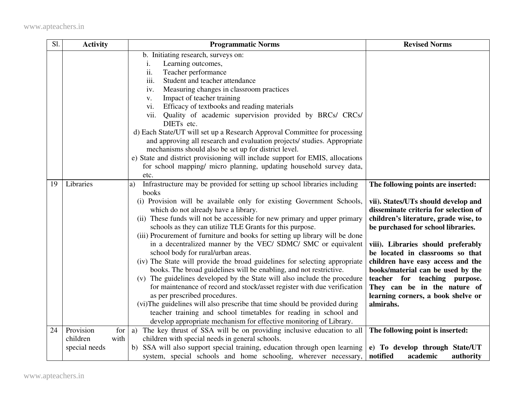| Sl. | <b>Activity</b>               | <b>Programmatic Norms</b>                                                                                     | <b>Revised Norms</b>                                                         |
|-----|-------------------------------|---------------------------------------------------------------------------------------------------------------|------------------------------------------------------------------------------|
|     |                               | b. Initiating research, surveys on:                                                                           |                                                                              |
|     |                               | Learning outcomes,<br>i.                                                                                      |                                                                              |
|     |                               | ii.<br>Teacher performance                                                                                    |                                                                              |
|     |                               | iii.<br>Student and teacher attendance                                                                        |                                                                              |
|     |                               | Measuring changes in classroom practices<br>iv.                                                               |                                                                              |
|     |                               | Impact of teacher training<br>V.                                                                              |                                                                              |
|     |                               | Efficacy of textbooks and reading materials<br>vi.                                                            |                                                                              |
|     |                               | Quality of academic supervision provided by BRCs/ CRCs/<br>vii.                                               |                                                                              |
|     |                               | DIETs etc.                                                                                                    |                                                                              |
|     |                               | d) Each State/UT will set up a Research Approval Committee for processing                                     |                                                                              |
|     |                               | and approving all research and evaluation projects/ studies. Appropriate                                      |                                                                              |
|     |                               | mechanisms should also be set up for district level.                                                          |                                                                              |
|     |                               | e) State and district provisioning will include support for EMIS, allocations                                 |                                                                              |
|     |                               | for school mapping/ micro planning, updating household survey data,                                           |                                                                              |
|     |                               | etc.                                                                                                          |                                                                              |
| 19  | Libraries                     | Infrastructure may be provided for setting up school libraries including<br>a)                                | The following points are inserted:                                           |
|     |                               | books                                                                                                         |                                                                              |
|     |                               | (i) Provision will be available only for existing Government Schools,<br>which do not already have a library. | vii). States/UTs should develop and<br>disseminate criteria for selection of |
|     |                               | (ii) These funds will not be accessible for new primary and upper primary                                     | children's literature, grade wise, to                                        |
|     |                               | schools as they can utilize TLE Grants for this purpose.                                                      | be purchased for school libraries.                                           |
|     |                               | (iii) Procurement of furniture and books for setting up library will be done                                  |                                                                              |
|     |                               | in a decentralized manner by the VEC/ SDMC/ SMC or equivalent                                                 | viii). Libraries should preferably                                           |
|     |                               | school body for rural/urban areas.                                                                            | be located in classrooms so that                                             |
|     |                               | (iv) The State will provide the broad guidelines for selecting appropriate                                    | children have easy access and the                                            |
|     |                               | books. The broad guidelines will be enabling, and not restrictive.                                            | books/material can be used by the                                            |
|     |                               | (v) The guidelines developed by the State will also include the procedure                                     | teacher for teaching purpose.                                                |
|     |                               | for maintenance of record and stock/asset register with due verification                                      | They can be in the nature of                                                 |
|     |                               | as per prescribed procedures.                                                                                 | learning corners, a book shelve or                                           |
|     |                               | (vi) The guidelines will also prescribe that time should be provided during                                   | almirahs.                                                                    |
|     |                               | teacher training and school timetables for reading in school and                                              |                                                                              |
|     |                               | develop appropriate mechanism for effective monitoring of Library.                                            |                                                                              |
| 24  | Provision<br>for <sub>l</sub> | a) The key thrust of SSA will be on providing inclusive education to all                                      | The following point is inserted:                                             |
|     | children<br>with              | children with special needs in general schools.                                                               |                                                                              |
|     | special needs                 | b) SSA will also support special training, education through open learning                                    | e) To develop through State/UT                                               |
|     |                               | system, special schools and home schooling, wherever necessary,                                               | notified<br>academic<br>authority                                            |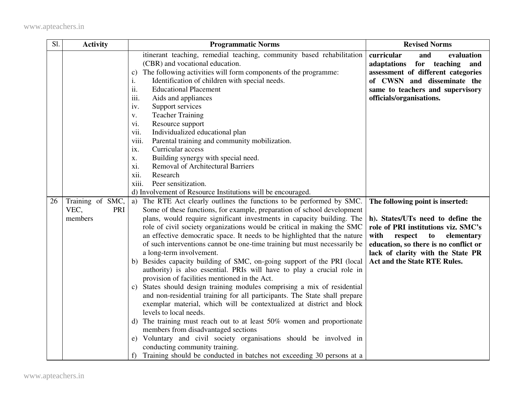| Sl. | <b>Activity</b>                            | <b>Programmatic Norms</b>                                                                                                                                                                                                                                                                                                                                                                                                                                                                                                                                                                                                                                                                                                                                                                                                                                                                                                                                                                                                                                                                                                                                                                                                                                           | <b>Revised Norms</b>                                                                                                                                                                                                                                              |
|-----|--------------------------------------------|---------------------------------------------------------------------------------------------------------------------------------------------------------------------------------------------------------------------------------------------------------------------------------------------------------------------------------------------------------------------------------------------------------------------------------------------------------------------------------------------------------------------------------------------------------------------------------------------------------------------------------------------------------------------------------------------------------------------------------------------------------------------------------------------------------------------------------------------------------------------------------------------------------------------------------------------------------------------------------------------------------------------------------------------------------------------------------------------------------------------------------------------------------------------------------------------------------------------------------------------------------------------|-------------------------------------------------------------------------------------------------------------------------------------------------------------------------------------------------------------------------------------------------------------------|
|     |                                            | itinerant teaching, remedial teaching, community based rehabilitation<br>(CBR) and vocational education.<br>The following activities will form components of the programme:<br>$\mathbf{c})$<br>Identification of children with special needs.<br>i.<br>ii.<br><b>Educational Placement</b><br>iii.<br>Aids and appliances<br>Support services<br>iv.<br><b>Teacher Training</b><br>V.<br>Resource support<br>vi.<br>vii.<br>Individualized educational plan<br>viii.<br>Parental training and community mobilization.<br>Curricular access<br>ix.<br>Building synergy with special need.<br>X.<br><b>Removal of Architectural Barriers</b><br>xi.<br>xii.<br>Research<br>xiii.<br>Peer sensitization.                                                                                                                                                                                                                                                                                                                                                                                                                                                                                                                                                              | curricular<br>and<br>evaluation<br>adaptations<br>for teaching<br>and<br>assessment of different categories<br>of CWSN and disseminate the<br>same to teachers and supervisory<br>officials/organisations.                                                        |
|     |                                            | d) Involvement of Resource Institutions will be encouraged.                                                                                                                                                                                                                                                                                                                                                                                                                                                                                                                                                                                                                                                                                                                                                                                                                                                                                                                                                                                                                                                                                                                                                                                                         |                                                                                                                                                                                                                                                                   |
| 26  | Training of SMC,<br>VEC,<br>PRI<br>members | a) The RTE Act clearly outlines the functions to be performed by SMC.<br>Some of these functions, for example, preparation of school development<br>plans, would require significant investments in capacity building. The<br>role of civil society organizations would be critical in making the SMC<br>an effective democratic space. It needs to be highlighted that the nature<br>of such interventions cannot be one-time training but must necessarily be<br>a long-term involvement.<br>b) Besides capacity building of SMC, on-going support of the PRI (local<br>authority) is also essential. PRIs will have to play a crucial role in<br>provision of facilities mentioned in the Act.<br>c) States should design training modules comprising a mix of residential<br>and non-residential training for all participants. The State shall prepare<br>exemplar material, which will be contextualized at district and block<br>levels to local needs.<br>d) The training must reach out to at least 50% women and proportionate<br>members from disadvantaged sections<br>e) Voluntary and civil society organisations should be involved in<br>conducting community training.<br>f) Training should be conducted in batches not exceeding 30 persons at a | The following point is inserted:<br>h). States/UTs need to define the<br>role of PRI institutions viz. SMC's<br>with<br>respect<br>to<br>elementary<br>education, so there is no conflict or<br>lack of clarity with the State PR<br>Act and the State RTE Rules. |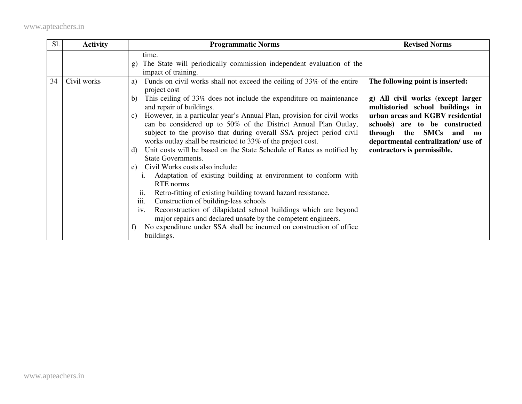| Sl. | <b>Activity</b> | <b>Programmatic Norms</b>                                                                                                                                                                                                                                                                                                                                                                                                                                                                                                                                                                                                                                                                                                                                                                                                                                                                                                                                                                                                                                                                                                                     | <b>Revised Norms</b>                                                                                                                                                                                                                                                                |
|-----|-----------------|-----------------------------------------------------------------------------------------------------------------------------------------------------------------------------------------------------------------------------------------------------------------------------------------------------------------------------------------------------------------------------------------------------------------------------------------------------------------------------------------------------------------------------------------------------------------------------------------------------------------------------------------------------------------------------------------------------------------------------------------------------------------------------------------------------------------------------------------------------------------------------------------------------------------------------------------------------------------------------------------------------------------------------------------------------------------------------------------------------------------------------------------------|-------------------------------------------------------------------------------------------------------------------------------------------------------------------------------------------------------------------------------------------------------------------------------------|
|     |                 | time.<br>The State will periodically commission independent evaluation of the<br>$\mathbf{g}$<br>impact of training.                                                                                                                                                                                                                                                                                                                                                                                                                                                                                                                                                                                                                                                                                                                                                                                                                                                                                                                                                                                                                          |                                                                                                                                                                                                                                                                                     |
| 34  | Civil works     | Funds on civil works shall not exceed the ceiling of 33% of the entire<br>a)<br>project cost<br>This ceiling of 33% does not include the expenditure on maintenance<br>b)<br>and repair of buildings.<br>However, in a particular year's Annual Plan, provision for civil works<br>$\mathcal{C}$ )<br>can be considered up to 50% of the District Annual Plan Outlay,<br>subject to the proviso that during overall SSA project period civil<br>works outlay shall be restricted to 33% of the project cost.<br>Unit costs will be based on the State Schedule of Rates as notified by<br>d)<br><b>State Governments.</b><br>Civil Works costs also include:<br>e)<br>Adaptation of existing building at environment to conform with<br><b>RTE</b> norms<br>Retro-fitting of existing building toward hazard resistance.<br>11.<br>iii.<br>Construction of building-less schools<br>Reconstruction of dilapidated school buildings which are beyond<br>$\mathbf{1} \mathbf{V}$ .<br>major repairs and declared unsafe by the competent engineers.<br>No expenditure under SSA shall be incurred on construction of office<br>f)<br>buildings. | The following point is inserted:<br>g) All civil works (except larger<br>multistoried school buildings in<br>urban areas and KGBV residential<br>schools) are to be constructed<br>through the SMCs<br>and no<br>departmental centralization/ use of<br>contractors is permissible. |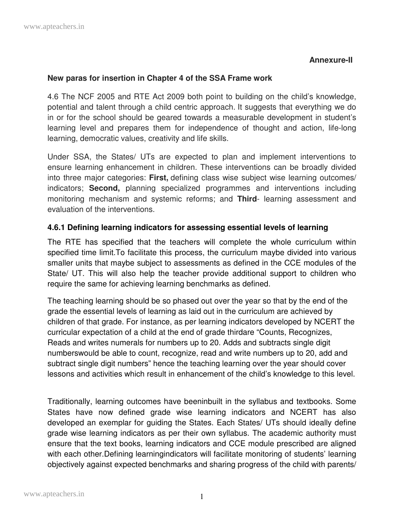## **Annexure-II**

### **New paras for insertion in Chapter 4 of the SSA Frame work**

4.6 The NCF 2005 and RTE Act 2009 both point to building on the child's knowledge, potential and talent through a child centric approach. It suggests that everything we do in or for the school should be geared towards a measurable development in student's learning level and prepares them for independence of thought and action, life-long learning, democratic values, creativity and life skills.

Under SSA, the States/ UTs are expected to plan and implement interventions to ensure learning enhancement in children. These interventions can be broadly divided into three major categories: **First,** defining class wise subject wise learning outcomes/ indicators; **Second,** planning specialized programmes and interventions including monitoring mechanism and systemic reforms; and **Third**- learning assessment and evaluation of the interventions.

## **4.6.1 Defining learning indicators for assessing essential levels of learning**

The RTE has specified that the teachers will complete the whole curriculum within specified time limit.To facilitate this process, the curriculum maybe divided into various smaller units that maybe subject to assessments as defined in the CCE modules of the State/ UT. This will also help the teacher provide additional support to children who require the same for achieving learning benchmarks as defined.

The teaching learning should be so phased out over the year so that by the end of the grade the essential levels of learning as laid out in the curriculum are achieved by children of that grade. For instance, as per learning indicators developed by NCERT the curricular expectation of a child at the end of grade thirdare "Counts, Recognizes, Reads and writes numerals for numbers up to 20. Adds and subtracts single digit numberswould be able to count, recognize, read and write numbers up to 20, add and subtract single digit numbers" hence the teaching learning over the year should cover lessons and activities which result in enhancement of the child's knowledge to this level.

Traditionally, learning outcomes have beeninbuilt in the syllabus and textbooks. Some States have now defined grade wise learning indicators and NCERT has also developed an exemplar for guiding the States. Each States/ UTs should ideally define grade wise learning indicators as per their own syllabus. The academic authority must ensure that the text books, learning indicators and CCE module prescribed are aligned with each other. Defining learningindicators will facilitate monitoring of students' learning objectively against expected benchmarks and sharing progress of the child with parents/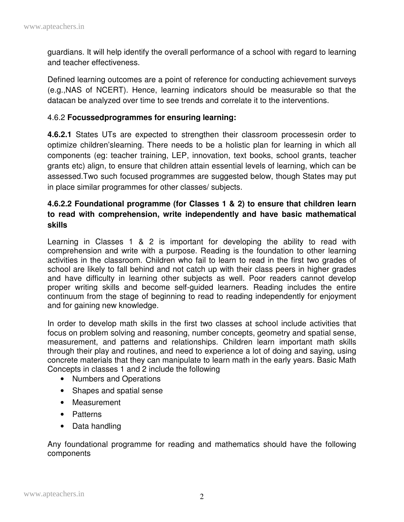guardians. It will help identify the overall performance of a school with regard to learning and teacher effectiveness.

Defined learning outcomes are a point of reference for conducting achievement surveys (e.g.,NAS of NCERT). Hence, learning indicators should be measurable so that the datacan be analyzed over time to see trends and correlate it to the interventions.

#### 4.6.2 **Focussedprogrammes for ensuring learning:**

**4.6.2.1** States UTs are expected to strengthen their classroom processesin order to optimize children'slearning. There needs to be a holistic plan for learning in which all components (eg: teacher training, LEP, innovation, text books, school grants, teacher grants etc) align, to ensure that children attain essential levels of learning, which can be assessed.Two such focused programmes are suggested below, though States may put in place similar programmes for other classes/ subjects.

## **4.6.2.2 Foundational programme (for Classes 1 & 2) to ensure that children learn to read with comprehension, write independently and have basic mathematical skills**

Learning in Classes 1 & 2 is important for developing the ability to read with comprehension and write with a purpose. Reading is the foundation to other learning activities in the classroom. Children who fail to learn to read in the first two grades of school are likely to fall behind and not catch up with their class peers in higher grades and have difficulty in learning other subjects as well. Poor readers cannot develop proper writing skills and become self-guided learners. Reading includes the entire continuum from the stage of beginning to read to reading independently for enjoyment and for gaining new knowledge.

In order to develop math skills in the first two classes at school include activities that focus on problem solving and reasoning, number concepts, geometry and spatial sense, measurement, and patterns and relationships. Children learn important math skills through their play and routines, and need to experience a lot of doing and saying, using concrete materials that they can manipulate to learn math in the early years. Basic Math Concepts in classes 1 and 2 include the following

- Numbers and Operations
- Shapes and spatial sense
- Measurement
- Patterns
- Data handling

Any foundational programme for reading and mathematics should have the following components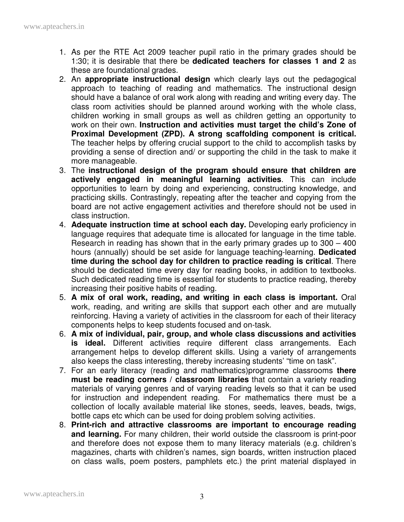- 1. As per the RTE Act 2009 teacher pupil ratio in the primary grades should be 1:30; it is desirable that there be **dedicated teachers for classes 1 and 2** as these are foundational grades.
- 2. An **appropriate instructional design** which clearly lays out the pedagogical approach to teaching of reading and mathematics. The instructional design should have a balance of oral work along with reading and writing every day. The class room activities should be planned around working with the whole class, children working in small groups as well as children getting an opportunity to work on their own. **Instruction and activities must target the child's Zone of Proximal Development (ZPD). A strong scaffolding component is critical.**  The teacher helps by offering crucial support to the child to accomplish tasks by providing a sense of direction and/ or supporting the child in the task to make it more manageable.
- 3. The **instructional design of the program should ensure that children are actively engaged in meaningful learning activities**. This can include opportunities to learn by doing and experiencing, constructing knowledge, and practicing skills. Contrastingly, repeating after the teacher and copying from the board are not active engagement activities and therefore should not be used in class instruction.
- 4. **Adequate instruction time at school each day.** Developing early proficiency in language requires that adequate time is allocated for language in the time table. Research in reading has shown that in the early primary grades up to 300 – 400 hours (annually) should be set aside for language teaching-learning. **Dedicated time during the school day for children to practice reading is critical**. There should be dedicated time every day for reading books, in addition to textbooks. Such dedicated reading time is essential for students to practice reading, thereby increasing their positive habits of reading.
- 5. **A mix of oral work, reading, and writing in each class is important.** Oral work, reading, and writing are skills that support each other and are mutually reinforcing. Having a variety of activities in the classroom for each of their literacy components helps to keep students focused and on-task.
- 6. **A mix of individual, pair, group, and whole class discussions and activities is ideal.** Different activities require different class arrangements. Each arrangement helps to develop different skills. Using a variety of arrangements also keeps the class interesting, thereby increasing students' "time on task".
- 7. For an early literacy (reading and mathematics)programme classrooms **there must be reading corners / classroom libraries** that contain a variety reading materials of varying genres and of varying reading levels so that it can be used for instruction and independent reading. For mathematics there must be a collection of locally available material like stones, seeds, leaves, beads, twigs, bottle caps etc which can be used for doing problem solving activities.
- 8. **Print-rich and attractive classrooms are important to encourage reading and learning.** For many children, their world outside the classroom is print-poor and therefore does not expose them to many literacy materials (e.g. children's magazines, charts with children's names, sign boards, written instruction placed on class walls, poem posters, pamphlets etc.) the print material displayed in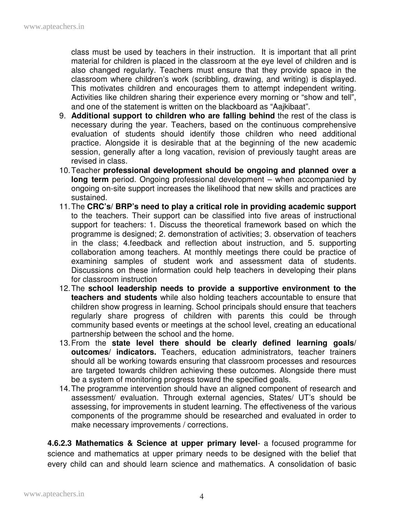class must be used by teachers in their instruction. It is important that all print material for children is placed in the classroom at the eye level of children and is also changed regularly. Teachers must ensure that they provide space in the classroom where children's work (scribbling, drawing, and writing) is displayed. This motivates children and encourages them to attempt independent writing. Activities like children sharing their experience every morning or "show and tell", and one of the statement is written on the blackboard as "Aajkibaat".

- 9. **Additional support to children who are falling behind** the rest of the class is necessary during the year. Teachers, based on the continuous comprehensive evaluation of students should identify those children who need additional practice. Alongside it is desirable that at the beginning of the new academic session, generally after a long vacation, revision of previously taught areas are revised in class.
- 10. Teacher **professional development should be ongoing and planned over a long term** period. Ongoing professional development – when accompanied by ongoing on-site support increases the likelihood that new skills and practices are sustained.
- 11. The **CRC's/ BRP's need to play a critical role in providing academic support** to the teachers. Their support can be classified into five areas of instructional support for teachers: 1. Discuss the theoretical framework based on which the programme is designed; 2. demonstration of activities; 3. observation of teachers in the class; 4.feedback and reflection about instruction, and 5. supporting collaboration among teachers. At monthly meetings there could be practice of examining samples of student work and assessment data of students. Discussions on these information could help teachers in developing their plans for classroom instruction
- 12. The **school leadership needs to provide a supportive environment to the teachers and students** while also holding teachers accountable to ensure that children show progress in learning. School principals should ensure that teachers regularly share progress of children with parents this could be through community based events or meetings at the school level, creating an educational partnership between the school and the home.
- 13. From the **state level there should be clearly defined learning goals/ outcomes/ indicators.** Teachers, education administrators, teacher trainers should all be working towards ensuring that classroom processes and resources are targeted towards children achieving these outcomes. Alongside there must be a system of monitoring progress toward the specified goals.
- 14. The programme intervention should have an aligned component of research and assessment/ evaluation. Through external agencies, States/ UT's should be assessing, for improvements in student learning. The effectiveness of the various components of the programme should be researched and evaluated in order to make necessary improvements / corrections.

**4.6.2.3 Mathematics & Science at upper primary level**- a focused programme for science and mathematics at upper primary needs to be designed with the belief that every child can and should learn science and mathematics. A consolidation of basic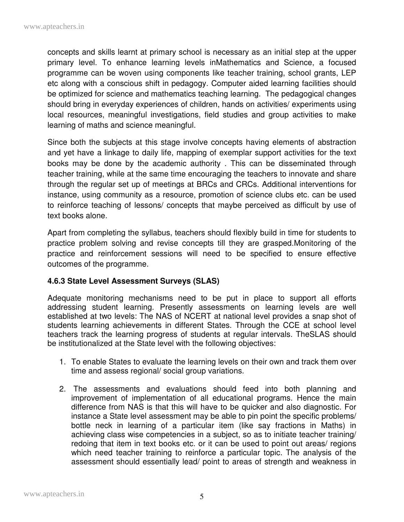concepts and skills learnt at primary school is necessary as an initial step at the upper primary level. To enhance learning levels inMathematics and Science, a focused programme can be woven using components like teacher training, school grants, LEP etc along with a conscious shift in pedagogy. Computer aided learning facilities should be optimized for science and mathematics teaching learning. The pedagogical changes should bring in everyday experiences of children, hands on activities/ experiments using local resources, meaningful investigations, field studies and group activities to make learning of maths and science meaningful.

Since both the subjects at this stage involve concepts having elements of abstraction and yet have a linkage to daily life, mapping of exemplar support activities for the text books may be done by the academic authority . This can be disseminated through teacher training, while at the same time encouraging the teachers to innovate and share through the regular set up of meetings at BRCs and CRCs. Additional interventions for instance, using community as a resource, promotion of science clubs etc. can be used to reinforce teaching of lessons/ concepts that maybe perceived as difficult by use of text books alone.

Apart from completing the syllabus, teachers should flexibly build in time for students to practice problem solving and revise concepts till they are grasped.Monitoring of the practice and reinforcement sessions will need to be specified to ensure effective outcomes of the programme.

## **4.6.3 State Level Assessment Surveys (SLAS)**

Adequate monitoring mechanisms need to be put in place to support all efforts addressing student learning. Presently assessments on learning levels are well established at two levels: The NAS of NCERT at national level provides a snap shot of students learning achievements in different States. Through the CCE at school level teachers track the learning progress of students at regular intervals. TheSLAS should be institutionalized at the State level with the following objectives:

- 1. To enable States to evaluate the learning levels on their own and track them over time and assess regional/ social group variations.
- 2. The assessments and evaluations should feed into both planning and improvement of implementation of all educational programs. Hence the main difference from NAS is that this will have to be quicker and also diagnostic. For instance a State level assessment may be able to pin point the specific problems/ bottle neck in learning of a particular item (like say fractions in Maths) in achieving class wise competencies in a subject, so as to initiate teacher training/ redoing that item in text books etc. or it can be used to point out areas/ regions which need teacher training to reinforce a particular topic. The analysis of the assessment should essentially lead/ point to areas of strength and weakness in